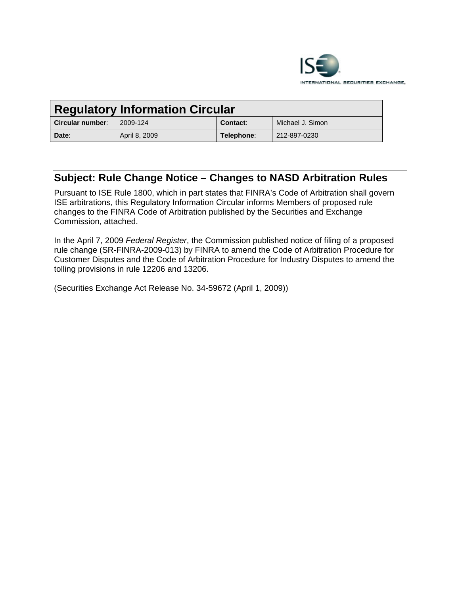

| <b>Regulatory Information Circular</b> |               |            |                  |
|----------------------------------------|---------------|------------|------------------|
| Circular number:                       | 2009-124      | Contact:   | Michael J. Simon |
| Date:                                  | April 8, 2009 | Telephone: | 212-897-0230     |

# **Subject: Rule Change Notice – Changes to NASD Arbitration Rules**

Pursuant to ISE Rule 1800, which in part states that FINRA's Code of Arbitration shall govern ISE arbitrations, this Regulatory Information Circular informs Members of proposed rule changes to the FINRA Code of Arbitration published by the Securities and Exchange Commission, attached.

In the April 7, 2009 *Federal Register*, the Commission published notice of filing of a proposed rule change (SR-FINRA-2009-013) by FINRA to amend the Code of Arbitration Procedure for Customer Disputes and the Code of Arbitration Procedure for Industry Disputes to amend the tolling provisions in rule 12206 and 13206.

(Securities Exchange Act Release No. 34-59672 (April 1, 2009))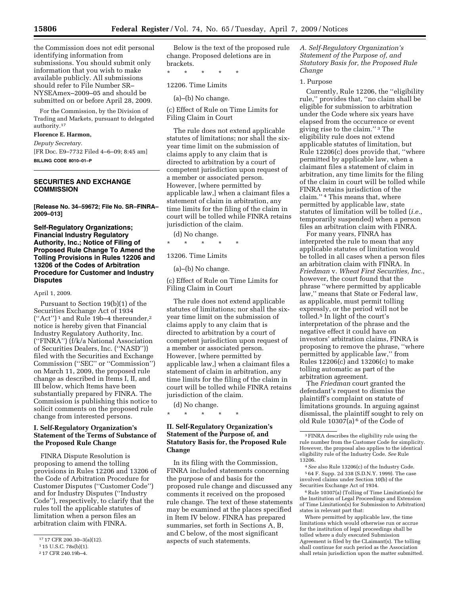the Commission does not edit personal identifying information from submissions. You should submit only information that you wish to make available publicly. All submissions should refer to File Number SR– NYSEAmex–2009–05 and should be submitted on or before April 28, 2009.

For the Commission, by the Division of Trading and Markets, pursuant to delegated authority.17

# **Florence E. Harmon,**

*Deputy Secretary.* 

[FR Doc. E9–7732 Filed 4–6–09; 8:45 am] **BILLING CODE 8010–01–P** 

# **SECURITIES AND EXCHANGE COMMISSION**

**[Release No. 34–59672; File No. SR–FINRA– 2009–013]** 

# **Self-Regulatory Organizations; Financial Industry Regulatory Authority, Inc.; Notice of Filing of Proposed Rule Change To Amend the Tolling Provisions in Rules 12206 and 13206 of the Codes of Arbitration Procedure for Customer and Industry Disputes**

## April 1, 2009.

Pursuant to Section 19(b)(1) of the Securities Exchange Act of 1934 (''Act'') 1 and Rule 19b–4 thereunder,2 notice is hereby given that Financial Industry Regulatory Authority, Inc. (''FINRA'') (f/k/a National Association of Securities Dealers, Inc. (''NASD'')) filed with the Securities and Exchange Commission (''SEC'' or ''Commission'') on March 11, 2009, the proposed rule change as described in Items I, II, and III below, which Items have been substantially prepared by FINRA. The Commission is publishing this notice to solicit comments on the proposed rule change from interested persons.

# **I. Self-Regulatory Organization's Statement of the Terms of Substance of the Proposed Rule Change**

FINRA Dispute Resolution is proposing to amend the tolling provisions in Rules 12206 and 13206 of the Code of Arbitration Procedure for Customer Disputes (''Customer Code'') and for Industry Disputes (''Industry Code''), respectively, to clarify that the rules toll the applicable statutes of limitation when a person files an arbitration claim with FINRA.

Below is the text of the proposed rule change. Proposed deletions are in brackets.

\* \* \* \* \*

12206. Time Limits

(a)–(b) No change.

(c) Effect of Rule on Time Limits for Filing Claim in Court

The rule does not extend applicable statutes of limitations; nor shall the sixyear time limit on the submission of claims apply to any claim that is directed to arbitration by a court of competent jurisdiction upon request of a member or associated person. However, [where permitted by applicable law,] when a claimant files a statement of claim in arbitration, any time limits for the filing of the claim in court will be tolled while FINRA retains jurisdiction of the claim.

(d) No change.

\* \* \* \* \*

# 13206. Time Limits

(a)–(b) No change.

(c) Effect of Rule on Time Limits for Filing Claim in Court

The rule does not extend applicable statutes of limitations; nor shall the sixyear time limit on the submission of claims apply to any claim that is directed to arbitration by a court of competent jurisdiction upon request of a member or associated person. However, [where permitted by applicable law,] when a claimant files a statement of claim in arbitration, any time limits for the filing of the claim in court will be tolled while FINRA retains jurisdiction of the claim.

(d) No change.

\* \* \* \* \*

# **II. Self-Regulatory Organization's Statement of the Purpose of, and Statutory Basis for, the Proposed Rule Change**

In its filing with the Commission, FINRA included statements concerning the purpose of and basis for the proposed rule change and discussed any comments it received on the proposed rule change. The text of these statements may be examined at the places specified in Item IV below. FINRA has prepared summaries, set forth in Sections A, B, and C below, of the most significant aspects of such statements.

*A. Self-Regulatory Organization's Statement of the Purpose of, and Statutory Basis for, the Proposed Rule Change* 

#### 1. Purpose

Currently, Rule 12206, the ''eligibility rule,'' provides that, ''no claim shall be eligible for submission to arbitration under the Code where six years have elapsed from the occurrence or event giving rise to the claim.'' 3 The eligibility rule does not extend applicable statutes of limitation, but Rule 12206(c) does provide that, ''where permitted by applicable law, when a claimant files a statement of claim in arbitration, any time limits for the filing of the claim in court will be tolled while FINRA retains jurisdiction of the claim.'' 4 This means that, where permitted by applicable law, state statutes of limitation will be tolled (*i.e.*, temporarily suspended) when a person files an arbitration claim with FINRA.

For many years, FINRA has interpreted the rule to mean that any applicable statutes of limitation would be tolled in all cases when a person files an arbitration claim with FINRA. In *Friedman* v. *Wheat First Securities, Inc.*, however, the court found that the phrase ''where permitted by applicable law,'' means that State or Federal law, as applicable, must permit tolling expressly, or the period will not be tolled.5 In light of the court's interpretation of the phrase and the negative effect it could have on investors' arbitration claims, FINRA is proposing to remove the phrase, ''where permitted by applicable law,'' from Rules 12206(c) and 13206(c) to make tolling automatic as part of the arbitration agreement.

The *Friedman* court granted the defendant's request to dismiss the plaintiff's complaint on statute of limitations grounds. In arguing against dismissal, the plaintiff sought to rely on old Rule  $10307(a)$ <sup>6</sup> of the Code of

6Rule 10307(a) (Tolling of Time Limitation(s) for the Institution of Legal Proceedings and Extension of Time Limitation(s) for Submission to Arbitration) states in relevant part that:

<sup>17</sup> 17 CFR 200.30–3(a)(12).

<sup>1</sup> 15 U.S.C. 78s(b)(1).

<sup>2</sup> 17 CFR 240.19b–4.

<sup>3</sup>FINRA describes the eligibility rule using the rule number from the Customer Code for simplicity. However, the proposal also applies to the identical eligibility rule of the Industry Code. *See* Rule 13206.

<sup>4</sup>*See* also Rule 13206(c) of the Industry Code. 5 64 F. Supp. 2d 338 (S.D.N.Y. 1999). The case involved claims under Section 10(b) of the Securities Exchange Act of 1934.

Where permitted by applicable law, the time limitations which would otherwise run or accrue for the institution of legal proceedings shall be tolled where a duly executed Submission Agreement is filed by the CLaimant(s). The tolling shall continue for such period as the Association shall retain jurisdiction upon the matter submitted.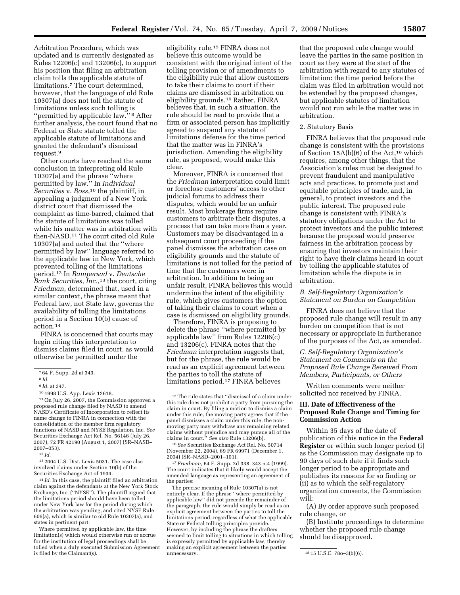Arbitration Procedure, which was updated and is currently designated as Rules 12206(c) and 13206(c), to support his position that filing an arbitration claim tolls the applicable statute of limitations.7 The court determined, however, that the language of old Rule 10307(a) does not toll the statute of limitations unless such tolling is "permitted by applicable law."<sup>8</sup> After further analysis, the court found that no Federal or State statute tolled the applicable statute of limitations and granted the defendant's dismissal request.9

Other courts have reached the same conclusion in interpreting old Rule 10307(a) and the phrase ''where permitted by law.'' In *Individual Securities* v. *Ross*,10 the plaintiff, in appealing a judgment of a New York district court that dismissed the complaint as time-barred, claimed that the statute of limitations was tolled while his matter was in arbitration with then-NASD.11 The court cited old Rule 10307(a) and noted that the ''where permitted by law'' language referred to the applicable law in New York, which prevented tolling of the limitations period.12 In *Rampersad* v. *Deutsche Bank Securities, Inc.*,<sup>13</sup> the court, citing *Friedman*, determined that, used in a similar context, the phrase meant that Federal law, not State law, governs the availability of tolling the limitations period in a Section 10(b) cause of action.14

FINRA is concerned that courts may begin citing this interpretation to dismiss claims filed in court, as would otherwise be permitted under the

13 2004 U.S. Dist. Lexis 5031. The case also involved claims under Section 10(b) of the Securities Exchange Act of 1934.

14 *Id.* In this case, the plaintiff filed an arbitration claim against the defendants at the New York Stock Exchange, Inc. (''NYSE''). The plaintiff argued that the limitations period should have been tolled under New York law for the period during which the arbitration was pending, and cited NYSE Rule 606(a), which is similar to old Rule 10307(a), and states in pertinent part:

Where permitted by applicable law, the time limitation(s) which would otherwise run or accrue for the institution of legal proceedings shall be tolled when a duly executed Submission Agreement is filed by the Claimant(s).

eligibility rule.15 FINRA does not believe this outcome would be consistent with the original intent of the tolling provision or of amendments to the eligibility rule that allow customers to take their claims to court if their claims are dismissed in arbitration on eligibility grounds.16 Rather, FINRA believes that, in such a situation, the rule should be read to provide that a firm or associated person has implicitly agreed to suspend any statute of limitations defense for the time period that the matter was in FINRA's jurisdiction. Amending the eligibility rule, as proposed, would make this clear.

Moreover, FINRA is concerned that the *Friedman* interpretation could limit or foreclose customers' access to other judicial forums to address their disputes, which would be an unfair result. Most brokerage firms require customers to arbitrate their disputes, a process that can take more than a year. Customers may be disadvantaged in a subsequent court proceeding if the panel dismisses the arbitration case on eligibility grounds and the statute of limitations is not tolled for the period of time that the customers were in arbitration. In addition to being an unfair result, FINRA believes this would undermine the intent of the eligibility rule, which gives customers the option of taking their claims to court when a case is dismissed on eligibility grounds.

Therefore, FINRA is proposing to delete the phrase ''where permitted by applicable law'' from Rules 12206(c) and 13206(c). FINRA notes that the *Friedman* interpretation suggests that, but for the phrase, the rule would be read as an explicit agreement between the parties to toll the statute of limitations period.17 FINRA believes

16*See* Securities Exchange Act Rel. No. 50714 (November 22, 2004), 69 FR 69971 (December 1, 2004) (SR–NASD–2001–101).

17*Friedman*, 64 F. Supp. 2d 338, 343 n.4 (1999). The court indicates that it likely would accept the amended language as representing an agreement of the parties:

The precise meaning of Rule 10307(a) is not entirely clear. If the phrase ''where permitted by applicable law'' did not precede the remainder of the paragraph, the rule would simply be read as an explicit agreement between the parties to toll the limitations period, regardless of what the applicable State or Federal tolling principles provide. However, by including the phrase the drafters seemed to limit tolling to situations in which tolling is expressly permitted by applicable law, thereby making an explicit agreement between the parties

that the proposed rule change would leave the parties in the same position in court as they were at the start of the arbitration with regard to any statutes of limitation: the time period before the claim was filed in arbitration would not be extended by the proposed changes, but applicable statutes of limitation would not run while the matter was in arbitration.

## 2. Statutory Basis

FINRA believes that the proposed rule change is consistent with the provisions of Section  $15A(b)(6)$  of the Act,<sup>18</sup> which requires, among other things, that the Association's rules must be designed to prevent fraudulent and manipulative acts and practices, to promote just and equitable principles of trade, and, in general, to protect investors and the public interest. The proposed rule change is consistent with FINRA's statutory obligations under the Act to protect investors and the public interest because the proposal would preserve fairness in the arbitration process by ensuring that investors maintain their right to have their claims heard in court by tolling the applicable statutes of limitation while the dispute is in arbitration.

## *B. Self-Regulatory Organization's Statement on Burden on Competition*

FINRA does not believe that the proposed rule change will result in any burden on competition that is not necessary or appropriate in furtherance of the purposes of the Act, as amended.

# *C. Self-Regulatory Organization's Statement on Comments on the Proposed Rule Change Received From Members, Participants, or Others*

Written comments were neither solicited nor received by FINRA.

# **III. Date of Effectiveness of the Proposed Rule Change and Timing for Commission Action**

Within 35 days of the date of publication of this notice in the **Federal Register** or within such longer period (i) as the Commission may designate up to 90 days of such date if it finds such longer period to be appropriate and publishes its reasons for so finding or (ii) as to which the self-regulatory organization consents, the Commission will:

(A) By order approve such proposed rule change, or

(B) Institute proceedings to determine whether the proposed rule change should be disapproved.

<sup>7</sup> 64 F. Supp. 2d at 343.

<sup>8</sup> *Id.* 

<sup>9</sup> *Id.* at 347.

<sup>10</sup> 1998 U.S. App. Lexis 12618.

<sup>11</sup>On July 26, 2007, the Commission approved a proposed rule change filed by NASD to amend NASD's Certificate of Incorporation to reflect its name change to FINRA in connection with the consolidation of the member firm regulatory functions of NASD and NYSE Regulation, Inc. *See*  Securities Exchange Act Rel. No. 56146 (July 26, 2007), 72 FR 42190 (August 1, 2007) (SR–NASD– 2007–053).

<sup>12</sup> *Id.* 

<sup>15</sup>The rule states that ''dismissal of a claim under this rule does not prohibit a party from pursuing the claim in court. By filing a motion to dismiss a claim under this rule, the moving party agrees that if the panel dismisses a claim under this rule, the nonmoving party may withdraw any remaining related claims without prejudice and may pursue all of the claims in court.'' *See also* Rule 13206(b).

<sup>18 15</sup> U.S.C. 78o-3(b)(6).